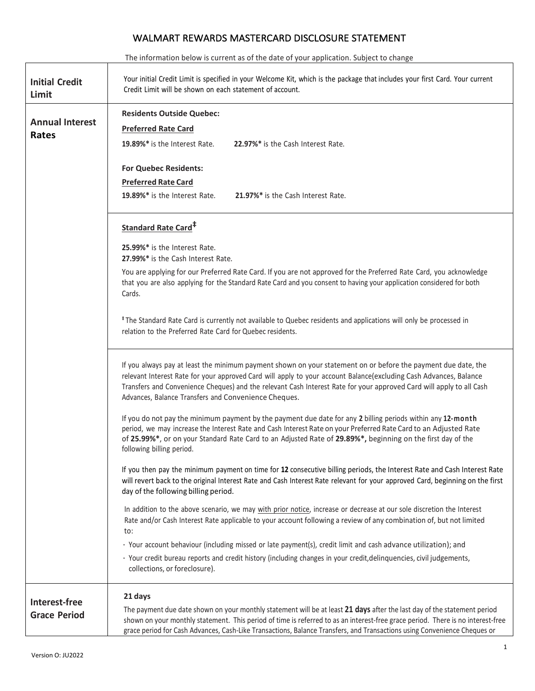# WALMART REWARDS MASTERCARD DISCLOSURE STATEMENT

The information below is current as of the date of your application. Subject to change

| <b>Initial Credit</b><br>Limit       | Your initial Credit Limit is specified in your Welcome Kit, which is the package that includes your first Card. Your current<br>Credit Limit will be shown on each statement of account.                                                                                                                                                                                                                           |
|--------------------------------------|--------------------------------------------------------------------------------------------------------------------------------------------------------------------------------------------------------------------------------------------------------------------------------------------------------------------------------------------------------------------------------------------------------------------|
|                                      | <b>Residents Outside Quebec:</b>                                                                                                                                                                                                                                                                                                                                                                                   |
| <b>Annual Interest</b>               | <b>Preferred Rate Card</b>                                                                                                                                                                                                                                                                                                                                                                                         |
| Rates                                | 19.89%* is the Interest Rate.<br>22.97%* is the Cash Interest Rate.                                                                                                                                                                                                                                                                                                                                                |
|                                      |                                                                                                                                                                                                                                                                                                                                                                                                                    |
|                                      | <b>For Quebec Residents:</b>                                                                                                                                                                                                                                                                                                                                                                                       |
|                                      | <b>Preferred Rate Card</b>                                                                                                                                                                                                                                                                                                                                                                                         |
|                                      | 19.89%* is the Interest Rate.<br>21.97%* is the Cash Interest Rate.                                                                                                                                                                                                                                                                                                                                                |
|                                      | <b>Standard Rate Card<sup>#</sup></b>                                                                                                                                                                                                                                                                                                                                                                              |
|                                      | 25.99%* is the Interest Rate.                                                                                                                                                                                                                                                                                                                                                                                      |
|                                      | 27.99%* is the Cash Interest Rate.                                                                                                                                                                                                                                                                                                                                                                                 |
|                                      | You are applying for our Preferred Rate Card. If you are not approved for the Preferred Rate Card, you acknowledge<br>that you are also applying for the Standard Rate Card and you consent to having your application considered for both<br>Cards.                                                                                                                                                               |
|                                      | <sup>#</sup> The Standard Rate Card is currently not available to Quebec residents and applications will only be processed in<br>relation to the Preferred Rate Card for Quebec residents.                                                                                                                                                                                                                         |
|                                      | If you always pay at least the minimum payment shown on your statement on or before the payment due date, the<br>relevant Interest Rate for your approved Card will apply to your account Balance(excluding Cash Advances, Balance<br>Transfers and Convenience Cheques) and the relevant Cash Interest Rate for your approved Card will apply to all Cash<br>Advances, Balance Transfers and Convenience Cheques. |
|                                      | If you do not pay the minimum payment by the payment due date for any 2 billing periods within any 12-month<br>period, we may increase the Interest Rate and Cash Interest Rate on your Preferred Rate Card to an Adjusted Rate<br>of 25.99%*, or on your Standard Rate Card to an Adjusted Rate of 29.89%*, beginning on the first day of the<br>following billing period.                                        |
|                                      | If you then pay the minimum payment on time for 12 consecutive billing periods, the Interest Rate and Cash Interest Rate<br>will revert back to the original Interest Rate and Cash Interest Rate relevant for your approved Card, beginning on the first<br>day of the following billing period.                                                                                                                  |
|                                      | In addition to the above scenario, we may with prior notice, increase or decrease at our sole discretion the Interest<br>Rate and/or Cash Interest Rate applicable to your account following a review of any combination of, but not limited<br>to:                                                                                                                                                                |
|                                      | · Your account behaviour (including missed or late payment(s), credit limit and cash advance utilization); and                                                                                                                                                                                                                                                                                                     |
|                                      | · Your credit bureau reports and credit history (including changes in your credit, delinquencies, civil judgements,<br>collections, or foreclosure).                                                                                                                                                                                                                                                               |
| Interest-free<br><b>Grace Period</b> | 21 days<br>The payment due date shown on your monthly statement will be at least 21 days after the last day of the statement period<br>shown on your monthly statement. This period of time is referred to as an interest-free grace period. There is no interest-free<br>grace period for Cash Advances, Cash-Like Transactions, Balance Transfers, and Transactions using Convenience Cheques or                 |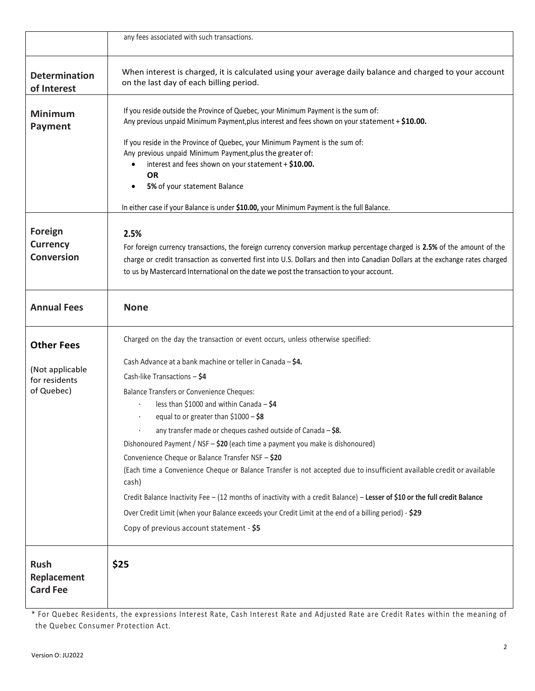|                                                 | any fees associated with such transactions.                                                                                                                                                                                                                                                                                                                                                                                                                                                                                                                                                                                                                                                                                                                                                                                                                       |
|-------------------------------------------------|-------------------------------------------------------------------------------------------------------------------------------------------------------------------------------------------------------------------------------------------------------------------------------------------------------------------------------------------------------------------------------------------------------------------------------------------------------------------------------------------------------------------------------------------------------------------------------------------------------------------------------------------------------------------------------------------------------------------------------------------------------------------------------------------------------------------------------------------------------------------|
| <b>Determination</b><br>of Interest             | When interest is charged, it is calculated using your average daily balance and charged to your account<br>on the last day of each billing period.                                                                                                                                                                                                                                                                                                                                                                                                                                                                                                                                                                                                                                                                                                                |
| <b>Minimum</b><br><b>Payment</b>                | If you reside outside the Province of Quebec, your Minimum Payment is the sum of:<br>Any previous unpaid Minimum Payment, plus interest and fees shown on your statement + \$10.00.                                                                                                                                                                                                                                                                                                                                                                                                                                                                                                                                                                                                                                                                               |
|                                                 | If you reside in the Province of Quebec, your Minimum Payment is the sum of:<br>Any previous unpaid Minimum Payment, plus the greater of:<br>interest and fees shown on your statement + \$10.00.                                                                                                                                                                                                                                                                                                                                                                                                                                                                                                                                                                                                                                                                 |
|                                                 | <b>OR</b><br>5% of your statement Balance<br>$\bullet$                                                                                                                                                                                                                                                                                                                                                                                                                                                                                                                                                                                                                                                                                                                                                                                                            |
|                                                 | In either case if your Balance is under \$10.00, your Minimum Payment is the full Balance.                                                                                                                                                                                                                                                                                                                                                                                                                                                                                                                                                                                                                                                                                                                                                                        |
| Foreign<br><b>Currency</b><br><b>Conversion</b> | 2.5%<br>For foreign currency transactions, the foreign currency conversion markup percentage charged is 2.5% of the amount of the<br>charge or credit transaction as converted first into U.S. Dollars and then into Canadian Dollars at the exchange rates charged<br>to us by Mastercard International on the date we post the transaction to your account.                                                                                                                                                                                                                                                                                                                                                                                                                                                                                                     |
| <b>Annual Fees</b>                              | <b>None</b>                                                                                                                                                                                                                                                                                                                                                                                                                                                                                                                                                                                                                                                                                                                                                                                                                                                       |
| <b>Other Fees</b>                               | Charged on the day the transaction or event occurs, unless otherwise specified:                                                                                                                                                                                                                                                                                                                                                                                                                                                                                                                                                                                                                                                                                                                                                                                   |
| (Not applicable<br>for residents<br>of Quebec)  | Cash Advance at a bank machine or teller in Canada - \$4.<br>Cash-like Transactions - \$4<br><b>Balance Transfers or Convenience Cheques:</b><br>less than \$1000 and within Canada - \$4<br>equal to or greater than $$1000 - $8$<br>any transfer made or cheques cashed outside of Canada $-$ \$8.<br>Dishonoured Payment / NSF - \$20 (each time a payment you make is dishonoured)<br>Convenience Cheque or Balance Transfer NSF - \$20<br>(Each time a Convenience Cheque or Balance Transfer is not accepted due to insufficient available credit or available<br>cash)<br>Credit Balance Inactivity Fee - (12 months of inactivity with a credit Balance) - Lesser of \$10 or the full credit Balance<br>Over Credit Limit (when your Balance exceeds your Credit Limit at the end of a billing period) - \$29<br>Copy of previous account statement - \$5 |
| <b>Rush</b><br>Replacement<br><b>Card Fee</b>   | \$25                                                                                                                                                                                                                                                                                                                                                                                                                                                                                                                                                                                                                                                                                                                                                                                                                                                              |

\* For Quebec Residents, the expressions Interest Rate, Cash Interest Rate and Adjusted Rate are Credit Rates within the meaning of the Quebec Consumer Protection Act.

 $\overline{\phantom{a}}$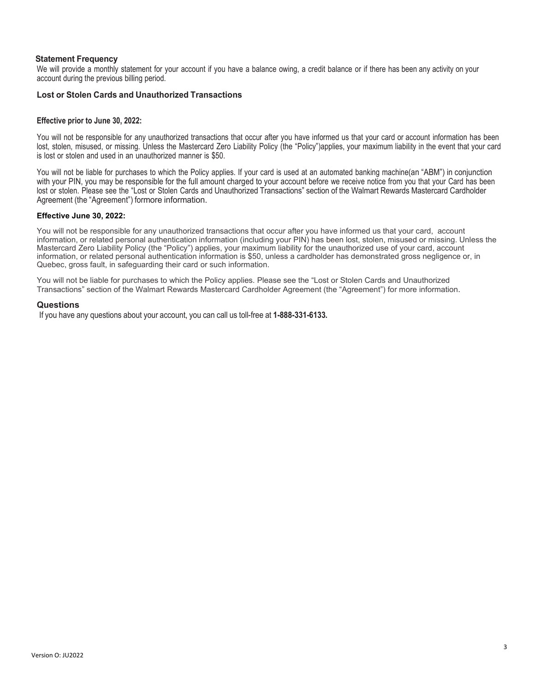## **Statement Frequency**

We will provide a monthly statement for your account if you have a balance owing, a credit balance or if there has been any activity on your account during the previous billing period.

## **Lost or Stolen Cards and Unauthorized Transactions**

## **Effective prior to June 30, 2022:**

You will not be responsible for any unauthorized transactions that occur after you have informed us that your card or account information has been lost, stolen, misused, or missing. Unless the Mastercard Zero Liability Policy (the "Policy")applies, your maximum liability in the event that your card is lost or stolen and used in an unauthorized manner is \$50.

You will not be liable for purchases to which the Policy applies. If your card is used at an automated banking machine(an "ABM") in conjunction with your PIN, you may be responsible for the full amount charged to your account before we receive notice from you that your Card has been lost or stolen. Please see the "Lost or Stolen Cards and Unauthorized Transactions" section of the Walmart Rewards Mastercard Cardholder Agreement (the "Agreement") formore information.

#### **Effective June 30, 2022:**

You will not be responsible for any unauthorized transactions that occur after you have informed us that your card, account information, or related personal authentication information (including your PIN) has been lost, stolen, misused or missing. Unless the Mastercard Zero Liability Policy (the "Policy") applies, your maximum liability for the unauthorized use of your card, account information, or related personal authentication information is \$50, unless a cardholder has demonstrated gross negligence or, in Quebec, gross fault, in safeguarding their card or such information.

You will not be liable for purchases to which the Policy applies. Please see the "Lost or Stolen Cards and Unauthorized Transactions" section of the Walmart Rewards Mastercard Cardholder Agreement (the "Agreement") for more information.

#### **Questions**

If you have any questions about your account, you can call us toll-free at **1-888-331-6133.**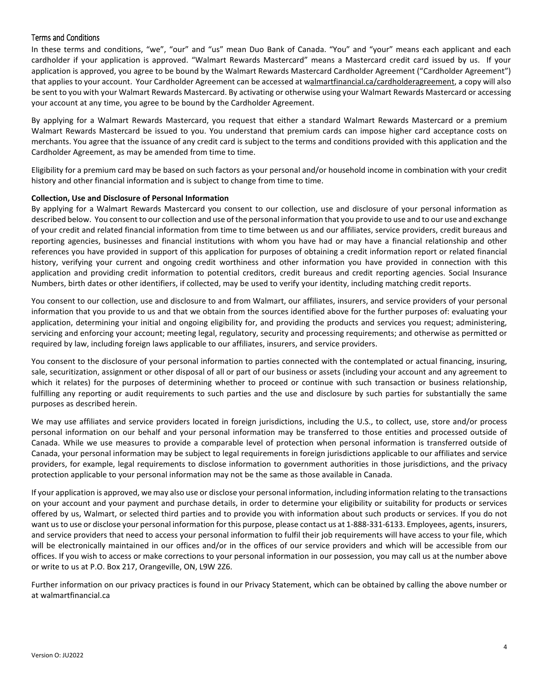# Terms and Conditions

In these terms and conditions, "we", "our" and "us" mean Duo Bank of Canada. "You" and "your" means each applicant and each cardholder if your application is approved. "Walmart Rewards Mastercard" means a Mastercard credit card issued by us. If your application is approved, you agree to be bound by the Walmart Rewards Mastercard Cardholder Agreement ("Cardholder Agreement") that applies to your account. Your Cardholder Agreement can be accessed at walmartfinancial.ca/cardholderagreement, a copy will also be sent to you with your Walmart Rewards Mastercard. By activating or otherwise using your Walmart Rewards Mastercard or accessing your account at any time, you agree to be bound by the Cardholder Agreement.

By applying for a Walmart Rewards Mastercard, you request that either a standard Walmart Rewards Mastercard or a premium Walmart Rewards Mastercard be issued to you. You understand that premium cards can impose higher card acceptance costs on merchants. You agree that the issuance of any credit card is subject to the terms and conditions provided with this application and the Cardholder Agreement, as may be amended from time to time.

Eligibility for a premium card may be based on such factors as your personal and/or household income in combination with your credit history and other financial information and is subject to change from time to time.

## **Collection, Use and Disclosure of Personal Information**

By applying for a Walmart Rewards Mastercard you consent to our collection, use and disclosure of your personal information as described below. You consent to our collection and use of the personal information that you provide to use and to our use and exchange of your credit and related financial information from time to time between us and our affiliates, service providers, credit bureaus and reporting agencies, businesses and financial institutions with whom you have had or may have a financial relationship and other references you have provided in support of this application for purposes of obtaining a credit information report or related financial history, verifying your current and ongoing credit worthiness and other information you have provided in connection with this application and providing credit information to potential creditors, credit bureaus and credit reporting agencies. Social Insurance Numbers, birth dates or other identifiers, if collected, may be used to verify your identity, including matching credit reports.

You consent to our collection, use and disclosure to and from Walmart, our affiliates, insurers, and service providers of your personal information that you provide to us and that we obtain from the sources identified above for the further purposes of: evaluating your application, determining your initial and ongoing eligibility for, and providing the products and services you request; administering, servicing and enforcing your account; meeting legal, regulatory, security and processing requirements; and otherwise as permitted or required by law, including foreign laws applicable to our affiliates, insurers, and service providers.

You consent to the disclosure of your personal information to parties connected with the contemplated or actual financing, insuring, sale, securitization, assignment or other disposal of all or part of our business or assets (including your account and any agreement to which it relates) for the purposes of determining whether to proceed or continue with such transaction or business relationship, fulfilling any reporting or audit requirements to such parties and the use and disclosure by such parties for substantially the same purposes as described herein.

We may use affiliates and service providers located in foreign jurisdictions, including the U.S., to collect, use, store and/or process personal information on our behalf and your personal information may be transferred to those entities and processed outside of Canada. While we use measures to provide a comparable level of protection when personal information is transferred outside of Canada, your personal information may be subject to legal requirements in foreign jurisdictions applicable to our affiliates and service providers, for example, legal requirements to disclose information to government authorities in those jurisdictions, and the privacy protection applicable to your personal information may not be the same as those available in Canada.

If your application is approved, we may also use or disclose your personal information, including information relating to the transactions on your account and your payment and purchase details, in order to determine your eligibility or suitability for products or services offered by us, Walmart, or selected third parties and to provide you with information about such products or services. If you do not want us to use or disclose your personal information for this purpose, please contact us at 1-888-331-6133. Employees, agents, insurers, and service providers that need to access your personal information to fulfil their job requirements will have access to your file, which will be electronically maintained in our offices and/or in the offices of our service providers and which will be accessible from our offices. If you wish to access or make corrections to your personal information in our possession, you may call us at the number above or write to us at P.O. Box 217, Orangeville, ON, L9W 2Z6.

Further information on our privacy practices is found in our Privacy Statement, which can be obtained by calling the above number or at walmartfinancial.ca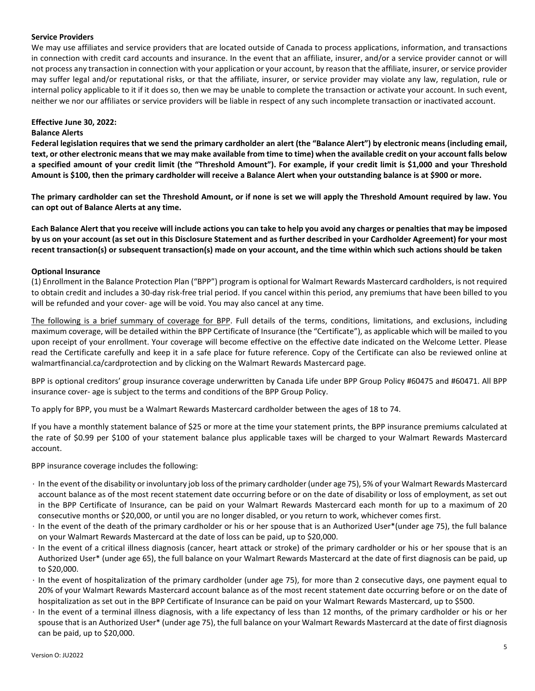## **Service Providers**

We may use affiliates and service providers that are located outside of Canada to process applications, information, and transactions in connection with credit card accounts and insurance. In the event that an affiliate, insurer, and/or a service provider cannot or will not process any transaction in connection with your application or your account, by reason that the affiliate, insurer, or service provider may suffer legal and/or reputational risks, or that the affiliate, insurer, or service provider may violate any law, regulation, rule or internal policy applicable to it if it does so, then we may be unable to complete the transaction or activate your account. In such event, neither we nor our affiliates or service providers will be liable in respect of any such incomplete transaction or inactivated account.

## **Effective June 30, 2022:**

## **Balance Alerts**

**Federal legislation requires that we send the primary cardholder an alert (the "Balance Alert") by electronic means (including email, text, or other electronic means that we may make available from time to time) when the available credit on your account falls below a specified amount of your credit limit (the "Threshold Amount"). For example, if your credit limit is \$1,000 and your Threshold Amount is \$100, then the primary cardholder will receive a Balance Alert when your outstanding balance is at \$900 or more.**

**The primary cardholder can set the Threshold Amount, or if none is set we will apply the Threshold Amount required by law. You can opt out of Balance Alerts at any time.**

**Each Balance Alert that you receive will include actions you can take to help you avoid any charges or penalties that may be imposed by us on your account (as set out in this Disclosure Statement and as further described in your Cardholder Agreement) for your most recent transaction(s) or subsequent transaction(s) made on your account, and the time within which such actions should be taken**

## **Optional Insurance**

(1) Enrollment in the Balance Protection Plan ("BPP") program is optional for Walmart Rewards Mastercard cardholders, is not required to obtain credit and includes a 30-day risk-free trial period. If you cancel within this period, any premiums that have been billed to you will be refunded and your cover- age will be void. You may also cancel at any time.

The following is a brief summary of coverage for BPP. Full details of the terms, conditions, limitations, and exclusions, including maximum coverage, will be detailed within the BPP Certificate of Insurance (the "Certificate"), as applicable which will be mailed to you upon receipt of your enrollment. Your coverage will become effective on the effective date indicated on the Welcome Letter. Please read the Certificate carefully and keep it in a safe place for future reference. Copy of the Certificate can also be reviewed online at walmartfinancial.ca/cardprotection and by clicking on the Walmart Rewards Mastercard page.

BPP is optional creditors' group insurance coverage underwritten by Canada Life under BPP Group Policy #60475 and #60471. All BPP insurance cover- age is subject to the terms and conditions of the BPP Group Policy.

To apply for BPP, you must be a Walmart Rewards Mastercard cardholder between the ages of 18 to 74.

If you have a monthly statement balance of \$25 or more at the time your statement prints, the BPP insurance premiums calculated at the rate of \$0.99 per \$100 of your statement balance plus applicable taxes will be charged to your Walmart Rewards Mastercard account.

BPP insurance coverage includes the following:

- In the event of the disability or involuntary job loss of the primary cardholder (under age 75), 5% of your Walmart Rewards Mastercard account balance as of the most recent statement date occurring before or on the date of disability or loss of employment, as set out in the BPP Certificate of Insurance, can be paid on your Walmart Rewards Mastercard each month for up to a maximum of 20 consecutive months or \$20,000, or until you are no longer disabled, or you return to work, whichever comes first.
- In the event of the death of the primary cardholder or his or her spouse that is an Authorized User\*(under age 75), the full balance on your Walmart Rewards Mastercard at the date of loss can be paid, up to \$20,000.
- In the event of a critical illness diagnosis (cancer, heart attack or stroke) of the primary cardholder or his or her spouse that is an Authorized User\* (under age 65), the full balance on your Walmart Rewards Mastercard at the date of first diagnosis can be paid, up to \$20,000.
- In the event of hospitalization of the primary cardholder (under age 75), for more than 2 consecutive days, one payment equal to 20% of your Walmart Rewards Mastercard account balance as of the most recent statement date occurring before or on the date of hospitalization as set out in the BPP Certificate of Insurance can be paid on your Walmart Rewards Mastercard, up to \$500.
- In the event of a terminal illness diagnosis, with a life expectancy of less than 12 months, of the primary cardholder or his or her spouse that is an Authorized User\* (under age 75), the full balance on your Walmart Rewards Mastercard at the date of first diagnosis can be paid, up to \$20,000.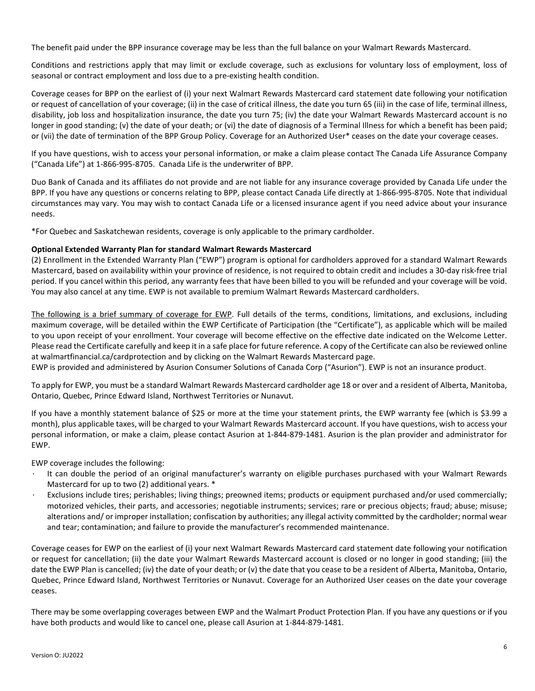The benefit paid under the BPP insurance coverage may be less than the full balance on your Walmart Rewards Mastercard.

Conditions and restrictions apply that may limit or exclude coverage, such as exclusions for voluntary loss of employment, loss of seasonal or contract employment and loss due to a pre-existing health condition.

Coverage ceases for BPP on the earliest of (i) your next Walmart Rewards Mastercard card statement date following your notification or request of cancellation of your coverage; (ii) in the case of critical illness, the date you turn 65 (iii) in the case of life, terminal illness, disability, job loss and hospitalization insurance, the date you turn 75; (iv) the date your Walmart Rewards Mastercard account is no longer in good standing; (v) the date of your death; or (vi) the date of diagnosis of a Terminal Illness for which a benefit has been paid; or (vii) the date of termination of the BPP Group Policy. Coverage for an Authorized User\* ceases on the date your coverage ceases.

If you have questions, wish to access your personal information, or make a claim please contact The Canada Life Assurance Company ("Canada Life") at 1-866-995-8705. Canada Life is the underwriter of BPP.

Duo Bank of Canada and its affiliates do not provide and are not liable for any insurance coverage provided by Canada Life under the BPP. If you have any questions or concerns relating to BPP, please contact Canada Life directly at 1-866-995-8705. Note that individual circumstances may vary. You may wish to contact Canada Life or a licensed insurance agent if you need advice about your insurance needs.

\*For Quebec and Saskatchewan residents, coverage is only applicable to the primary cardholder.

## **Optional Extended Warranty Plan for standard Walmart Rewards Mastercard**

(2) Enrollment in the Extended Warranty Plan ("EWP") program is optional for cardholders approved for a standard Walmart Rewards Mastercard, based on availability within your province of residence, is not required to obtain credit and includes a 30-day risk-free trial period. If you cancel within this period, any warranty fees that have been billed to you will be refunded and your coverage will be void. You may also cancel at any time. EWP is not available to premium Walmart Rewards Mastercard cardholders.

The following is a brief summary of coverage for EWP. Full details of the terms, conditions, limitations, and exclusions, including maximum coverage, will be detailed within the EWP Certificate of Participation (the "Certificate"), as applicable which will be mailed to you upon receipt of your enrollment. Your coverage will become effective on the effective date indicated on the Welcome Letter. Please read the Certificate carefully and keep it in a safe place for future reference. A copy of the Certificate can also be reviewed online at walmartfinancial.ca/cardprotection and by clicking on the Walmart Rewards Mastercard page.

EWP is provided and administered by Asurion Consumer Solutions of Canada Corp ("Asurion"). EWP is not an insurance product.

To apply for EWP, you must be a standard Walmart Rewards Mastercard cardholder age 18 or over and a resident of Alberta, Manitoba, Ontario, Quebec, Prince Edward Island, Northwest Territories or Nunavut.

If you have a monthly statement balance of \$25 or more at the time your statement prints, the EWP warranty fee (which is \$3.99 a month), plus applicable taxes, will be charged to your Walmart Rewards Mastercard account. If you have questions, wish to access your personal information, or make a claim, please contact Asurion at 1-844-879-1481. Asurion is the plan provider and administrator for EWP.

EWP coverage includes the following:

- It can double the period of an original manufacturer's warranty on eligible purchases purchased with your Walmart Rewards Mastercard for up to two (2) additional years. \*
- Exclusions include tires; perishables; living things; preowned items; products or equipment purchased and/or used commercially; motorized vehicles, their parts, and accessories; negotiable instruments; services; rare or precious objects; fraud; abuse; misuse; alterations and/ or improper installation; confiscation by authorities; any illegal activity committed by the cardholder; normal wear and tear; contamination; and failure to provide the manufacturer's recommended maintenance.

Coverage ceases for EWP on the earliest of (i) your next Walmart Rewards Mastercard card statement date following your notification or request for cancellation; (ii) the date your Walmart Rewards Mastercard account is closed or no longer in good standing; (iii) the date the EWP Plan is cancelled; (iv) the date of your death; or (v) the date that you cease to be a resident of Alberta, Manitoba, Ontario, Quebec, Prince Edward Island, Northwest Territories or Nunavut. Coverage for an Authorized User ceases on the date your coverage ceases.

There may be some overlapping coverages between EWP and the Walmart Product Protection Plan. If you have any questions or if you have both products and would like to cancel one, please call Asurion at 1-844-879-1481.